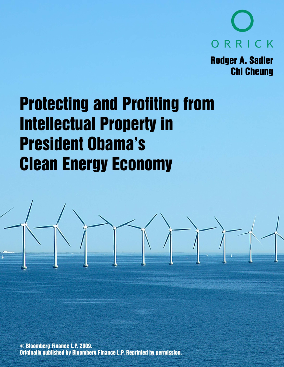

**Rodger A. Sadler Chi Cheung** 

# **Protecting and Profiting from Intellectual Property in President Obama's Clean Energy Economy**

© Bloomberg Finance L.P. 2009. **Originally published by Bloomberg Finance L.P. Reprinted by permission.**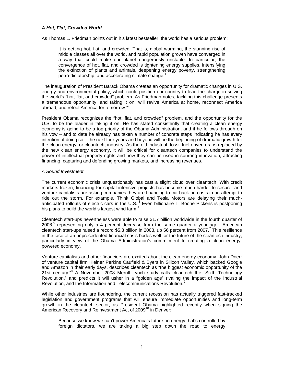# *A Hot, Flat, Crowded World*

As Thomas L. Friedman points out in his latest bestseller, the world has a serious problem:

It is getting hot, flat, and crowded. That is, global warming, the stunning rise of middle classes all over the world, and rapid population growth have converged in a way that could make our planet dangerously unstable. In particular, the convergence of hot, flat, and crowded is tightening energy supplies, intensifying the extinction of plants and animals, deepening energy poverty, strengthening petro-dictatorship, and accelerating climate change.<sup>1</sup>

The inauguration of President Barack Obama creates an opportunity for dramatic changes in U.S. energy and environmental policy, which could position our country to lead the charge in solving the world's "hot, flat, and crowded" problem. As Friedman notes, tackling this challenge presents a tremendous opportunity, and taking it on "will revive America at home, reconnect America abroad, and retool America for tomorrow."<sup>2</sup>

President Obama recognizes the "hot, flat, and crowded" problem, and the opportunity for the U.S. to be the leader in taking it on. He has stated consistently that creating a clean energy economy is going to be a top priority of the Obama Administration, and if he follows through on his vow – and to date he already has taken a number of concrete steps indicating he has every intention of doing so – the next four years and beyond will be the beginning of dramatic growth for the clean energy, or cleantech, industry. As the old industrial, fossil fuel-driven era is replaced by the new clean energy economy, it will be critical for cleantech companies to understand the power of intellectual property rights and how they can be used in spurring innovation, attracting financing, capturing and defending growing markets, and increasing revenues.

#### *A Sound Investment*

The current economic crisis unquestionably has cast a slight cloud over cleantech. With credit markets frozen, financing for capital-intensive projects has become much harder to secure, and venture capitalists are asking companies they are financing to cut back on costs in an attempt to ride out the storm. For example, Think Global and Tesla Motors are delaying their muchanticipated rollouts of electric cars in the U.S.. $3$  Even billionaire T. Boone Pickens is postponing his plans to build the world's largest wind farm. $4$ 

Cleantech start-ups nevertheless were able to raise \$1.7 billion worldwide in the fourth quarter of 2008,<sup>5</sup> representing only a 4 percent decrease from the same quarter a year ago.<sup>6</sup> American cleantech start-ups raised a record \$5.8 billion in 2008, up 56 percent from 2007.<sup>7</sup> This resilience in the face of an unprecedented financial crisis bodes well for the future of the cleantech industry, particularly in view of the Obama Administration's commitment to creating a clean energypowered economy.

Venture capitalists and other financiers are excited about the clean energy economy. John Doerr of venture capital firm Kleiner Perkins Caufield & Byers in Silicon Valley, which backed Google and Amazon in their early days, describes cleantech as "the biggest economic opportunity of the 21st century."<sup>8</sup> A November 2008 Merrill Lynch study calls cleantech the "Sixth Technology Revolution," and predicts it will usher in a "golden age" rivaling the impact of the Industrial Revolution, and the Information and Telecommunications Revolution.<sup>9</sup>

While other industries are floundering, the current recession has actually triggered fast-tracked legislation and government programs that will ensure immediate opportunities and long-term growth in the cleantech sector, as President Obama highlighted recently when signing the American Recovery and Reinvestment Act of 2009 $^{10}$  in Denver:

Because we know we can't power America's future on energy that's controlled by foreign dictators, we are taking a big step down the road to energy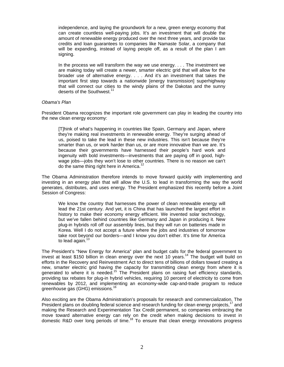independence, and laying the groundwork for a new, green energy economy that can create countless well-paying jobs. It's an investment that will double the amount of renewable energy produced over the next three years, and provide tax credits and loan guarantees to companies like Namaste Solar, a company that will be expanding, instead of laying people off, as a result of the plan I am sianina.

In the process we will transform the way we use energy. . . . The investment we are making today will create a newer, smarter electric grid that will allow for the broader use of alternative energy. . . . And it's an investment that takes the important first step towards a nationwide [energy transmission] superhighway that will connect our cities to the windy plains of the Dakotas and the sunny deserts of the Southwest.<sup>11</sup>

# *Obama's Plan*

President Obama recognizes the important role government can play in leading the country into the new clean energy economy:

[T]hink of what's happening in countries like Spain, Germany and Japan, where they're making real investments in renewable energy. They're surging ahead of us, poised to take the lead in these new industries. This isn't because they're smarter than us, or work harder than us, or are more innovative than we are. It's because their governments have harnessed their people's hard work and ingenuity with bold investments—investments that are paying off in good, highwage jobs—jobs they won't lose to other countries. There is no reason we can't do the same thing right here in America.<sup>12</sup>

The Obama Administration therefore intends to move forward quickly with implementing and investing in an energy plan that will allow the U.S. to lead in transforming the way the world generates, distributes, and uses energy. The President emphasized this recently before a Joint Session of Congress:

We know the country that harnesses the power of clean renewable energy will lead the 21st century. And yet, it is China that has launched the largest effort in history to make their economy energy efficient. We invented solar technology, but we've fallen behind countries like Germany and Japan in producing it. New plug-in hybrids roll off our assembly lines, but they will run on batteries made in Korea. Well I do not accept a future where the jobs and industries of tomorrow take root beyond our borders—and I know you don't either. It's time for America to lead again.<sup>13</sup>

The President's "New Energy for America" plan and budget calls for the federal government to invest at least \$150 billion in clean energy over the next 10 years.<sup>14</sup> The budget will build on efforts in the Recovery and Reinvestment Act to direct tens of billions of dollars toward creating a new, smarter electric grid having the capacity for transmitting clean energy from where it is generated to where it is needed.<sup>15</sup> The President plans on raising fuel efficiency standards, providing tax rebates for plug-in hybrid vehicles, requiring 10 percent of electricity to come from renewables by 2012, and implementing an economy-wide cap-and-trade program to reduce greenhouse gas (GHG) emissions.<sup>16</sup>

Also exciting are the Obama Administration's proposals for research and commercialization. The President plans on doubling federal science and research funding for clean energy projects, $17$  and making the Research and Experimentation Tax Credit permanent, so companies embracing the move toward alternative energy can rely on the credit when making decisions to invest in domestic R&D over long periods of time.<sup>18</sup> To ensure that clean energy innovations progress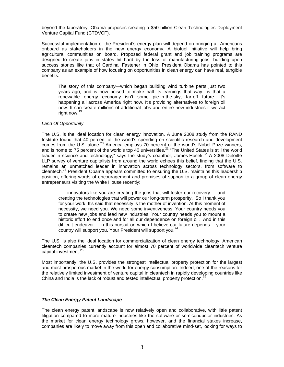beyond the laboratory, Obama proposes creating a \$50 billion Clean Technologies Deployment Venture Capital Fund (CTDVCF).

Successful implementation of the President's energy plan will depend on bringing all Americans onboard as stakeholders in the new energy economy. A biofuel initiative will help bring agricultural communities on board. Proposed federal grant and job training programs are designed to create jobs in states hit hard by the loss of manufacturing jobs, building upon success stories like that of Cardinal Fastener in Ohio. President Obama has pointed to this company as an example of how focusing on opportunities in clean energy can have real, tangible benefits:

The story of this company—which began building wind turbine parts just two years ago, and is now poised to make half its earnings that way—is that a renewable energy economy isn't some pie-in-the-sky, far-off future. It's happening all across America right now. It's providing alternatives to foreign oil now. It can create millions of additional jobs and entire new industries if we act right now.19

# *Land Of Opportunity*

The U.S. is the ideal location for clean energy innovation. A June 2008 study from the RAND Institute found that 40 percent of the world's spending on scientific research and development comes from the U.S. alone.<sup>20</sup> America employs 70 percent of the world's Nobel Prize winners, and is home to 75 percent of the world's top 40 universities.<sup>21</sup> "The United States is still the world leader in science and technology," says the study's coauthor, James Hosek. $^{22}$  A 2008 Deloitte LLP survey of venture capitalists from around the world echoes this belief, finding that the U.S. remains an unmatched leader in innovation across technology sectors, from software to cleantech.<sup>23</sup> President Obama appears committed to ensuring the U.S. maintains this leadership position, offering words of encouragement and promises of support to a group of clean energy entrepreneurs visiting the White House recently:

. . . innovators like you are creating the jobs that will foster our recovery –- and creating the technologies that will power our long-term prosperity. So I thank you for your work. It's said that necessity is the mother of invention. At this moment of necessity, we need you. We need some inventiveness. Your country needs you to create new jobs and lead new industries. Your country needs you to mount a historic effort to end once and for all our dependence on foreign oil. And in this difficult endeavor -- in this pursuit on which I believe our future depends -- your country will support you. Your President will support you.<sup>24</sup>

The U.S. is also the ideal location for commercialization of clean energy technology. American cleantech companies currently account for almost 70 percent of worldwide cleantech venture capital investment.<sup>25</sup>

Most importantly, the U.S. provides the strongest intellectual property protection for the largest and most prosperous market in the world for energy consumption. Indeed, one of the reasons for the relatively limited investment of venture capital in cleantech in rapidly developing countries like China and India is the lack of robust and tested intellectual property protection.<sup>26</sup>

# *The Clean Energy Patent Landscape*

The clean energy patent landscape is now relatively open and collaborative, with little patent litigation compared to more mature industries like the software or semiconductor industries. As the market for clean energy technology grows, however, and the financial stakes increase, companies are likely to move away from this open and collaborative mind-set, looking for ways to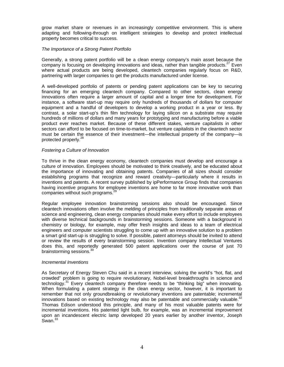grow market share or revenues in an increasingly competitive environment. This is where adapting and following-through on intelligent strategies to develop and protect intellectual property becomes critical to success.

# *The Importance of a Strong Patent Portfolio*

Generally, a strong patent portfolio will be a clean energy company's main asset because the company is focusing on developing innovations and ideas, rather than tangible products.<sup>27</sup> Even where actual products are being developed, cleantech companies regularly focus on R&D, partnering with larger companies to get the products manufactured under license.

A well-developed portfolio of patents or pending patent applications can be key to securing financing for an emerging cleantech company. Compared to other sectors, clean energy innovations often require a larger amount of capital and a longer time for development. For instance, a software start-up may require only hundreds of thousands of dollars for computer equipment and a handful of developers to develop a working product in a year or less. By contrast, a solar start-up's thin film technology for laying silicon on a substrate may require hundreds of millions of dollars and many years for prototyping and manufacturing before a viable product ever reaches market. Because of these different stakes, venture capitalists in other sectors can afford to be focused on time-to-market, but venture capitalists in the cleantech sector must be certain the essence of their investment—the intellectual property of the company—is protected properly.<sup>28</sup>

#### *Fostering a Culture of Innovation*

To thrive in the clean energy economy, cleantech companies must develop and encourage a culture of innovation. Employees should be motivated to think creatively, and be educated about the importance of innovating and obtaining patents. Companies of all sizes should consider establishing programs that recognize and reward creativity—particularly where it results in inventions and patents. A recent survey published by ipPerformance Group finds that companies having incentive programs for employee inventions are home to far more innovative work than companies without such programs.<sup>29</sup>

Regular employee innovation brainstorming sessions also should be encouraged. Since cleantech innovations often involve the melding of principles from traditionally separate areas of science and engineering, clean energy companies should make every effort to include employees with diverse technical backgrounds in brainstorming sessions. Someone with a background in chemistry or biology, for example, may offer fresh insights and ideas to a team of electrical engineers and computer scientists struggling to come up with an innovative solution to a problem a smart grid start-up is struggling to solve. If possible, patent attorneys should be invited to attend or review the results of every brainstorming session. Invention company Intellectual Ventures does this, and reportedly generated 500 patent applications over the course of just 70 brainstorming sessions.<sup>30</sup>

#### *Incremental Inventions*

As Secretary of Energy Steven Chu said in a recent interview, solving the world's "hot, flat, and crowded" problem is going to require revolutionary, Nobel-level breakthroughs in science and technology. $31$  Every cleantech company therefore needs to be "thinking big" when innovating. When formulating a patent strategy in the clean energy sector, however, it is important to remember that not only groundbreaking or revolutionary inventions are patentable; incremental innovations based on existing technology may also be patentable and commercially valuable. $32$ Thomas Edison understood this principle, and many of his most valuable patents were for incremental inventions. His patented light bulb, for example, was an incremental improvement upon an incandescent electric lamp developed 20 years earlier by another inventor, Joseph  $S$ wan. $33$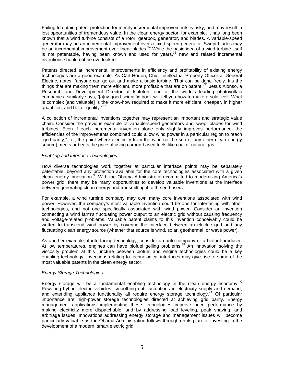Failing to obtain patent protection for merely incremental improvements is risky, and may result in lost opportunities of tremendous value. In the clean energy sector, for example, it has long been known that a wind turbine consists of a rotor, gearbox, generator, and blades. A variable-speed generator may be an incremental improvement over a fixed-speed generator. Swept blades may be an incremental improvement over linear blades.<sup>34</sup> While the basic idea of a wind turbine itself is not patentable, having been known and used for years,<sup>35</sup> new and related incremental inventions should not be overlooked.

Patents directed at incremental improvements in efficiency and profitability of existing energy technologies are a good example. As Carl Horton, Chief Intellectual Property Officer at General Electric, notes, "anyone can go out and make a basic turbine. That can be done freely. It's the things that are making them more efficient, more profitable that are on patent."<sup>36</sup> Jesus Alonso, a Research and Development Director at Isofoton, one of the world's leading photovoltaic companies, similarly says, "[a]ny good scientific book will tell you how to make a solar cell. What is complex [and valuable] is the know-how required to make it more efficient, cheaper, in higher quantities, and better quality."<sup>37</sup>

A collection of incremental inventions together may represent an important and strategic value chain. Consider the previous example of variable-speed generators and swept blades for wind turbines. Even if each incremental invention alone only slightly improves performance, the efficiencies of the improvements combined could allow wind power in a particular region to reach "grid parity," i.e., the point where electricity from the wind (or the sun or any other clean energy source) meets or beats the price of using carbon-based fuels like coal or natural gas.

# *Enabling and Interface Technologies*

How diverse technologies work together at particular interface points may be separately patentable, beyond any protection available for the core technologies associated with a given clean energy innovation.<sup>38</sup> With the Obama Administration committed to modernizing America's power grid, there may be many opportunities to develop valuable inventions at the interface between generating clean energy and transmitting it to the end users.

For example, a wind turbine company may own many core inventions associated with wind power. However, the company's most valuable invention could be one for interfacing with other technologies, and not one specifically associated with wind power. Consider an invention connecting a wind farm's fluctuating power output to an electric grid without causing frequency and voltage-related problems. Valuable patent claims to this invention conceivably could be written to transcend wind power by covering the interface between an electric grid and any fluctuating clean energy source (whether that source is wind, solar, geothermal, or wave power).

As another example of interfacing technology, consider an auto company or a biofuel producer. At low temperatures, engines can have biofuel gelling problems.<sup>39</sup> An innovation solving the viscosity problem at this juncture between biofuel and engine technologies could be a key enabling technology. Inventions relating to technological interfaces may give rise to some of the most valuable patents in the clean energy sector.

# *Energy Storage Technologies*

Energy storage will be a fundamental enabling technology in the clean energy economy.<sup>40</sup> Powering hybrid electric vehicles, smoothing out fluctuations in electricity supply and demand, and extending appliance functionality all require energy storage technology.<sup>41</sup> Of particular importance are high-power storage technologies directed at achieving grid parity. Energy management applications implementing these technologies improve price performance by making electricity more dispatchable, and by addressing load leveling, peak shaving, and arbitrage issues. Innovations addressing energy storage and management issues will become particularly valuable as the Obama Administration follows through on its plan for investing in the development of a modern, smart electric grid.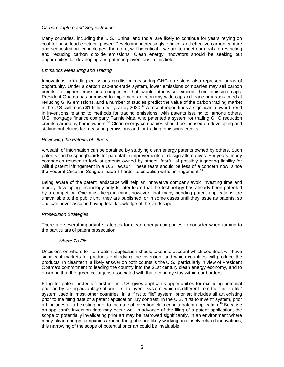### *Carbon Capture and Sequestration*

Many countries, including the U.S., China, and India, are likely to continue for years relying on coal for base-load electrical power. Developing increasingly efficient and effective carbon capture and sequestration technologies, therefore, will be critical if we are to meet our goals of restricting and reducing carbon dioxide emissions. Clean energy innovators should be seeking out opportunities for developing and patenting inventions in this field.

# *Emissions Measuring and Trading*

Innovations in trading emissions credits or measuring GHG emissions also represent areas of opportunity. Under a carbon cap-and-trade system, lower emissions companies may sell carbon credits to higher emissions companies that would otherwise exceed their emission caps. President Obama has promised to implement an economy-wide cap-and-trade program aimed at reducing GHG emissions, and a number of studies predict the value of the carbon trading market in the U.S. will reach \$1 trillion per year by 2020.<sup>42</sup> A recent report finds a significant upward trend in inventions relating to methods for trading emissions, with patents issuing to, among others, U.S. mortgage finance company Fannie Mae, who patented a system for trading GHG reduction credits earned by homeowners.43 Clean energy companies should be focused on developing and staking out claims for measuring emissions and for trading emissions credits.

#### *Reviewing the Patents of Others*

A wealth of information can be obtained by studying clean energy patents owned by others. Such patents can be springboards for patentable improvements or design alternatives. For years, many companies refused to look at patents owned by others, fearful of possibly triggering liability for willful patent infringement in a U.S. lawsuit. These fears should be less of a concern now, since the Federal Circuit in *Seagate* made it harder to establish willful infringement.<sup>44</sup>

Being aware of the patent landscape will help an innovative company avoid investing time and money developing technology only to later learn that the technology has already been patented by a competitor. One must keep in mind, however, that many pending patent applications are unavailable to the public until they are published, or in some cases until they issue as patents, so one can never assume having total knowledge of the landscape.

# *Prosecution Strategies*

There are several important strategies for clean energy companies to consider when turning to the particulars of patent prosecution.

# *Where To File*

Decisions on where to file a patent application should take into account which countries will have significant markets for products embodying the invention, and which countries will produce the products. In cleantech, a likely answer on both counts is the U.S., particularly in view of President Obama's commitment to leading the country into the 21st century clean energy economy, and to ensuring that the green collar jobs associated with that economy stay within our borders.

Filing for patent protection first in the U.S. gives applicants opportunities for excluding potential prior art by taking advantage of our "first to invent" system, which is different from the "first to file" system used in most other countries. In a "first to file" system, prior art includes all art existing prior to the filing date of a patent application. By contrast, in the U.S. "first to invent" system, prior art includes all art existing prior to the date of invention claimed in a patent application.<sup>45</sup> Because an applicant's invention date may occur well in advance of the filing of a patent application, the scope of potentially invalidating prior art may be narrowed significantly. In an environment where many clean energy companies around the globe are likely working on closely related innovations, this narrowing of the scope of potential prior art could be invaluable.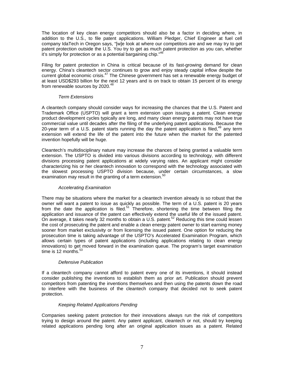The location of key clean energy competitors should also be a factor in deciding where, in addition to the U.S., to file patent applications. William Pledger, Chief Engineer at fuel cell company IdaTech in Oregon says, "[w]e look at where our competitors are and we may try to get patent protection outside the U.S. You try to get as much patent protection as you can, whether it's simply for protection or as a potential bargaining chip."

Filing for patent protection in China is critical because of its fast-growing demand for clean energy. China's cleantech sector continues to grow and enjoy steady capital inflow despite the current global economic crisis.<sup>47</sup> The Chinese government has set a renewable energy budget of at least USD\$293 billion for the next 12 years and is on track to obtain 15 percent of its energy from renewable sources by 2020.<sup>48</sup>

# *Term Extensions*

A cleantech company should consider ways for increasing the chances that the U.S. Patent and Trademark Office (USPTO) will grant a term extension upon issuing a patent. Clean energy product development cycles typically are long, and many clean energy patents may not have true commercial value until decades after the filing of the underlying patent applications. Because the 20-year term of a U.S. patent starts running the day the patent application is filed,  $49$  any term extension will extend the life of the patent into the future when the market for the patented invention hopefully will be huge.

Cleantech's multidisciplinary nature may increase the chances of being granted a valuable term extension. The USPTO is divided into various divisions according to technology, with different divisions processing patent applications at widely varying rates. An applicant might consider characterizing his or her cleantech innovation to correspond with the technology associated with the slowest processing USPTO division because, under certain circumstances, a slow examination may result in the granting of a term extension. $50$ 

# *Accelerating Examination*

There may be situations where the market for a cleantech invention already is so robust that the owner will want a patent to issue as quickly as possible. The term of a U.S. patent is 20 years from the date the application is filed.<sup>51</sup> Therefore, shortening the time between filing the application and issuance of the patent can effectively extend the useful life of the issued patent. On average, it takes nearly 32 months to obtain a U.S. patent.<sup>52</sup> Reducing this time could lessen the cost of prosecuting the patent and enable a clean energy patent owner to start earning money sooner from market exclusivity or from licensing the issued patent. One option for reducing the prosecution time is taking advantage of the USPTO's Accelerated Examination Program, which allows certain types of patent applications (including applications relating to clean energy innovations) to get moved forward in the examination queue. The program's target examination time is 12 months. $53$ 

# *Defensive Publication*

If a cleantech company cannot afford to patent every one of its inventions, it should instead consider publishing the inventions to establish them as prior art. Publication should prevent competitors from patenting the inventions themselves and then using the patents down the road to interfere with the business of the cleantech company that decided not to seek patent protection.

# *Keeping Related Applications Pending*

Companies seeking patent protection for their innovations always run the risk of competitors trying to design around the patent. Any patent applicant, cleantech or not, should try keeping related applications pending long after an original application issues as a patent. Related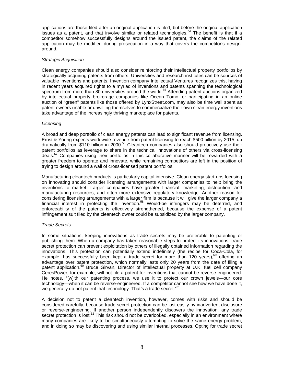applications are those filed after an original application is filed, but before the original application issues as a patent, and that involve similar or related technologies.<sup>54</sup> The benefit is that if a competitor somehow successfully designs around the issued patent, the claims of the related application may be modified during prosecution in a way that covers the competitor's designaround.

# *Strategic Acquisition*

Clean energy companies should also consider reinforcing their intellectual property portfolios by strategically acquiring patents from others. Universities and research institutes can be sources of valuable inventions and patents. Invention company Intellectual Ventures recognizes this, having in recent years acquired rights to a myriad of inventions and patents spanning the technological spectrum from more than 80 universities around the world.<sup>55</sup> Attending patent auctions organized by intellectual property brokerage companies like Ocean Tomo, or participating in an online auction of "green" patents like those offered by LynxStreet.com, may also be time well spent as patent owners unable or unwilling themselves to commercialize their own clean energy inventions take advantage of the increasingly thriving marketplace for patents.

# *Licensing*

A broad and deep portfolio of clean energy patents can lead to significant revenue from licensing. Ernst & Young expects worldwide revenue from patent licensing to reach \$500 billion by 2015, up dramatically from \$110 billion in 2000.56 Cleantech companies also should proactively use their patent portfolios as leverage to share in the technical innovations of others via cross-licensing deals. $57$  Companies using their portfolios in this collaborative manner will be rewarded with a greater freedom to operate and innovate, while remaining competitors are left in the position of trying to design around a wall of cross-licensed patent portfolios.

Manufacturing cleantech products is particularly capital intensive. Clean energy start-ups focusing on innovating should consider licensing arrangements with larger companies to help bring the inventions to market. Larger companies have greater financial, marketing, distribution, and manufacturing resources, and often more extensive regulatory knowledge. Another reason for considering licensing arrangements with a larger firm is because it will give the larger company a financial interest in protecting the invention.58 Would-be infringers may be deterred, and enforceability of the patents is effectively strengthened, because the expense of a patent infringement suit filed by the cleantech owner could be subsidized by the larger company.

# *Trade Secrets*

In some situations, keeping innovations as trade secrets may be preferable to patenting or publishing them. When a company has taken reasonable steps to protect its innovations, trade secret protection can prevent exploitation by others of illegally obtained information regarding the innovations. This protection can potentially extend indefinitely (the recipe for Coca-Cola, for example, has successfully been kept a trade secret for more than 120 years),<sup>59</sup> offering an advantage over patent protection, which normally lasts only 20 years from the date of filing a patent application.<sup>60</sup> Bruce Girvan, Director of intellectual property at U.K. fuel cell company CeresPower, for example, will not file a patent for inventions that cannot be reverse-engineered. He notes, "[w]ith our patenting process, we use it to protect our crown jewels—our core technology—when it can be reverse-engineered. If a competitor cannot see how we have done it, we generally do not patent that technology. That's a trade secret."<sup>61</sup>

A decision not to patent a cleantech invention, however, comes with risks and should be considered carefully, because trade secret protection can be lost easily by inadvertent disclosure or reverse-engineering. If another person independently discovers the innovation, any trade secret protection is lost.<sup>62</sup> This risk should not be overlooked, especially in an environment where many companies are likely to be simultaneously attempting to solve the same energy problem, and in doing so may be discovering and using similar internal processes. Opting for trade secret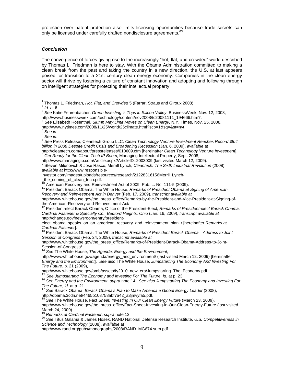protection over patent protection also limits licensing opportunities because trade secrets can only be licensed under carefully drafted nondisclosure agreements.<sup>63</sup>

# *Conclusion*

The convergence of forces giving rise to the increasingly "hot, flat, and crowded" world described by Thomas L. Friedman is here to stay. With the Obama Administration committed to making a clean break from the past and taking the country in a new direction, the U.S. at last appears poised for transition to a 21st century clean energy economy. Companies in the clean energy sector will thrive by fostering a culture of constant innovation and adopting and following through on intelligent strategies for protecting their intellectual property.

http://www.nytimes.com/2008/11/25/world/25climate.html?scp=1&sq=&st=nyt.

the-American-Recovery-and-Reinvestment-Act/.<br><sup>12</sup> President-elect Barack Obama, Office of the President-Elect, *Remarks of President-elect Barack Obama*, *Cardinal Fastener & Specialty Co., Bedford Heights, Ohio* (Jan. 16, 2009), *transcript available at* http://change.gov/newsroom/entry/president-

http://www.whitehouse.gov/the\_press\_office/Remarks-of-President-Barack-Obama-Address-to-Joint-Session-of-Congress/.

<sup>14</sup> *See* The White House, *The Agenda: Energy and the Environment*,

http://www.whitehouse.gov/agenda/energy\_and\_environment/ (last visited March 12, 2009) [hereinafter *Energy and the Environment*]. *See also* The White House, *Jumpstarting The Economy And Investing For The Future*, p. 21 (2009),

http://www.whitehouse.gov/omb/assets/fy2010\_new\_era/Jumpstarting\_The\_Economy.pdf.<br><sup>15</sup> See Jumpstarting The Economy and Investing For The Future, id. at p. 23.<br><sup>16</sup> See Energy and the Environment, supra note 14. See also J

<sup>17</sup> See Barack Obama, *Barack Obama's Plan to Make America a Global Energy Leader* (2008), http://obama.3cdn.net/4465b108758abf7a42\_a3jmvyfa5.pdf.

<sup>18</sup> *See* The White House, Fact *Sheet, Investing In Our Clean Energy Future* (March 23, 2009), http://www.whitehouse.gov/the\_press\_office/Fact-Sheet-Investing-in-Our-Clean-Energy-Future (last visited

March 24, 2009).<br><sup>19</sup> Remarks at Cardinal Fastener, supra note 12.

<sup>19</sup> *Remarks at Cardinal Fastener*, *supra* note 12. 20 *See* Titus Galama & James Hosek, RAND National Defense Research Institute, *U.S. Competitiveness in Science and Technology* (2008), *available at*

http://www.rand.org/pubs/monographs/2008/RAND\_MG674.sum.pdf.

 $\frac{1}{1}$ 

Thomas L. Friedman, *Hot, Flat, and Crowded* 3<br>
<sup>2</sup> *Id.* at 6.<br>
<sup>3</sup> See Katie Fehrenbacher, *Green Investing is Tops in Silicon Valley*, BusinessWeek, Nov. 12, 2008, http://www.businessweek.com/technology/content/nov2008/tc20081111\_194666.htm?. 4 *See* Elisabeth Rosenthal, *Slump May Limit Moves on Clean Energy*, N.Y. Times, Nov. 25, 2008,

 $^{\circ}$  See *id.*<br>º<br><sup>7</sup> See Press Release, Cleantech Group LLC, *Clean Technology Venture Investment Reaches Record \$8.4 billion in 2008 Despite Credit Crisis and Broadening Recession* (Jan. 6, 2009), *available at*

http://cleantech.com/about/pressreleases/010609.cfm [hereinafter *Clean Technology Venture Investment*].<br><sup>8</sup> Get Ready for the Clean Tech IP Boom, Managing Intellectual Property, Sept. 2008,<br>http://www.managingip.com/Artic

http://www.managingip.com/Article.aspx?ArticleID=2003009 (last visited March 12, 2009).<br><sup>9</sup> Steven Milunovich & Jose Rasco, Merrill Lynch, *Cleantech: The Sixth Industrial Revolution* (2008), *available at* http://www.responsible-

investor.com/images/uploads/resources/research/21228316156Merril\_Lynch-

the\_coming\_of\_clean\_tech.pdf.

<sup>&</sup>lt;sup>10</sup> American Recovery and Reinvestment Act of 2009, Pub. L. No. 111-5 (2009).<br><sup>11</sup> President Barack Obama, The White House, *Remarks of President Obama at Signing of American Recovery and Reinvestment Act in Denver* (Feb. 17, 2009), *transcript available at*

http://www.whitehouse.gov/the\_press\_office/Remarks-by-the-President-and-Vice-President-at-Signing-of-

elect\_obama\_speaks\_on\_an\_american\_recovery\_and\_reinvestment\_plan\_/ [hereinafter *Remarks at Cardinal Fastener*]. 13 President Barack Obama, The White House, *Remarks of President Barack Obama—Address to Joint* 

*Session of Congress* (Feb. 24, 2009), *transcript available at*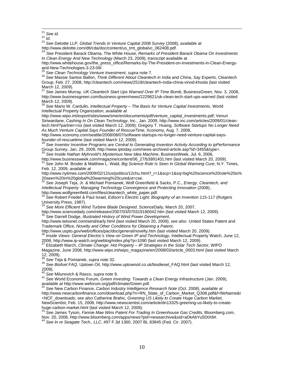<sup>21</sup> See id.<br><sup>22</sup> *Id.* 23 *Id.* 23 *See* Deloitte LLP, *Global Trends in Venture Capital 2008 Survey* (2008)*, available at*<br>http://www.deloitte.com/dtt/cda/doc/content/us\_tmt\_globalvc\_062408.pdf.

http://www.deloitte.com/dtt/cda/doc/content/us\_tmt\_globalvc\_062408.pdf. <sup>24</sup> *See* President Barack Obama, The White House, *Remarks of President Barack Obama On Investments In Clean Energy And New Technology* (March 23, 2009), transcript available at

http://www.whitehouse.gov/the\_press\_office/Remarks-by-The-President-on-Investments-in-Clean-Energyand-New-Technologies-3-23-09/.<br><sup>25</sup> See Clean Technology Venture Investment, supra note 7.

<sup>25</sup> *See Clean Technology Venture Investment*, *supra* note 7. 26 *See* Massie Santos Ballon, *Think Different About Cleantech in India and China, Say Experts*, Cleantech Group, Feb. 27, 2008, http://cleantech.com/news/2518/cleantech-india-china-vinod-khosla (last visited March 12, 2009).

<sup>27</sup> *See* James Murray, *UK Cleantech Start Ups Warned Over IP Time Bomb*, BusinessGreen, Nov. 3, 2008, http://www.businessgreen.com/business-green/news/2229621/uk-clean-tech-start-ups-warned (last visited March 12, 2009).

<sup>28</sup> *See* Mario W. Cardullo, *Intellectual Property – The Basis for Venture Capital Investments*, World Intellectual Property Organization, *available at*

http://www.wipo.int/export/sites/www/sme/en/documents/pdf/venture\_capital\_investments.pdf; Venuri Siriwardane, *Cashing In On Clean Technology*, Inc., Jan. 2009, http://www.inc.com/articles/2009/01/cleantech.html?partner=rss (last visited March 12, 2009); Gregory T. Huang, *Software Startups No Longer Need As Much Venture Capital Says Founder of RescueTime*, Xconomy, Aug. 7, 2008,

http://www.xconomy.com/seattle/2008/08/07/software-startups-no-longer-need-venture-capital-saysfounder-of-rescuetime (last visited March 12, 2009).

<sup>29</sup> *See Inventor Incentive Programs are Central to Generating Invention Activity According to ipPerformance* 

*Group Survey*, Jan. 29, 2009, http://www.iptoday.com/news-archived-article.asp?id=3455&type=.<br><sup>30</sup> *See Inside Nathan Myhrvold's Mysterious New Idea Machine*, BusinessWeek, Jul. 6, 2006,<br>http://www.businessweek.com/magazi

stemmagazinessweek.com<br><sup>31</sup> See John M. Broder & Matthew L. Wald, *Big Science Role Is Seen In Global Warming Cure*, N.Y. Times, Feb. 12, 2009, *available at*

http://www.nytimes.com/2009/02/12/us/politics/12chu.html?\_r=1&scp=1&sq=big%20science%20role%20is% 20seen%20in%20global%20warming%20cure&st=cse.

<sup>32</sup> *See* Joseph Teja, Jr. & Michael Pomianek, Wolf Greenfield & Sacks, P.C., *Energy, Cleantech, and Intellectual Property: Managing Technology Convergence and Protecting Innovation* (2008), http://www.wolfgreenfield.com/files/cleantech\_white\_paper.pdf.

<sup>33</sup> *See* Robert Friedel & Paul Israel, *Edison's Electric Light: Biography of an Invention* 115-117 (Rutgers University Press, 1987).

<sup>34</sup> See More Efficient Wind Turbine Blade Designed, ScienceDaily, March 20, 2007,<br>http://www.sciencedaily.com/releases/2007/03/070319180042.htm (last visited March 12, 2009). <sup>35</sup> See Darrell Dodge, *Illustrated History of Wind Power Development*,

http://www.telosnet.com/wind/early.html (last visited March 20, 2009); *see also* United States Patent and Trademark Office, *Novelty and Other Conditions for Obtaining a Patent*,

http://www.uspto.gov/web/offices/pac/doc/general/novelty.htm (last visited March 20, 2009).<br><sup>36</sup> *Inside Views: General Electric's View on Green IP and Technology*, Intellectual Property Watch, June 12, 2008, http://www.ip-watch.org/weblog/index.php?p=1090 (last visited March 12, 2009).

37 Elizabeth March, *Climate Change: Hot Property – IP Strategies in the Solar Tech Sector*, WIPO Magazine, June 2008, http://www.wipo.int/wipo\_magazine/en/2008/03/article\_0003.html (last visited March 12, 2009).<br><sup>38</sup> See Teja & Pomianek, *supra* note 32.

<sup>38</sup> *See* Teja & Pomianek, *supra* note 32. 39 *See Biofuel FAQ*, Uptown Oil, http://www.uptownoil.co.uk/biodiesel\_FAQ.html (last visited March 12, 2009).

40 See Milunovich & Rasco, *supra* note 9.<br><sup>41</sup> See World Economic Forum, *Green Investing: Towards a Clean Energy Infrastructure* (Jan. 2009), available at http://www.weforum.org/pdf/climate/Green.pdf.

*available at* http://www.weforum.org/pdf/climate/Green.pdf. 42 *See* New Carbon Finance, *Carbon Industry Intelligence Research Note* (Oct. 2008), *available at* http://www.newcarbonfinance.com/download.php?n=RN\_State\_of\_Carbon\_Market\_Q308.pdf&f=fileName&t =NCF\_downloads; *see also* Catherine Brahic, *Greening US Likely to Create Huge Carbon Market*, NewScientist, Feb. 15, 2008, http://www.newscientist.com/article/dn13325-greening-us-likely-to-createhuge-carbon-market.html (last visited March 12, 2009).

<sup>43</sup> *See* James Tyson, *Fannie Mae Wins Patent For Trading In Greenhouse Gas Credits*, Bloomberg.com, Nov. 20, 2008, http://www.bloomberg.com/apps/news?pid=newsarchive&sid=aDkAbYu5DtX8#.<br><sup>44</sup> See In re Seagate Tech., LLC, 497 F.3d 1360, 2007 BL 83845 (Fed. Cir. 2007).